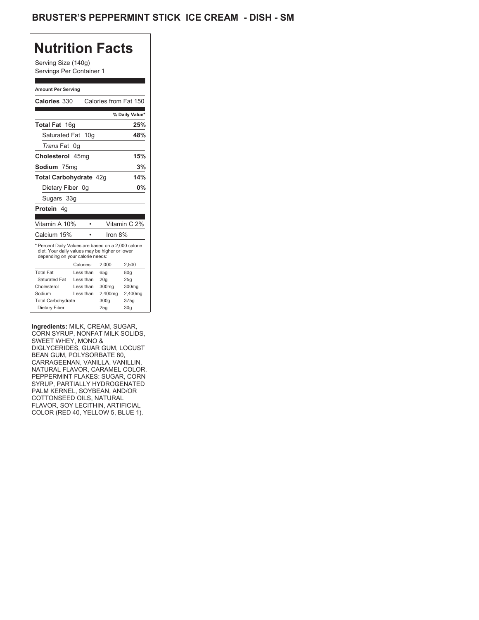## BRUSTER'S PEPPERMINT STICK ICE CREAM - DISH - SM

## **Nutrition Facts**

Serving Size (140g) Servings Per Container 1

#### **Amount Per Serving**

| Calories 330                                                                                                                                                                                       |                  | Calories from Fat 150 |                                |
|----------------------------------------------------------------------------------------------------------------------------------------------------------------------------------------------------|------------------|-----------------------|--------------------------------|
|                                                                                                                                                                                                    |                  |                       | % Daily Value*                 |
| Total Fat 16g                                                                                                                                                                                      |                  |                       | 25%                            |
| Saturated Fat                                                                                                                                                                                      | 10 <sub>q</sub>  |                       | 48%                            |
| <i>Trans</i> Fat                                                                                                                                                                                   | 0q               |                       |                                |
| Cholesterol                                                                                                                                                                                        | 45 <sub>mq</sub> |                       | 15%                            |
| Sodium 75mg                                                                                                                                                                                        |                  |                       | 3%                             |
|                                                                                                                                                                                                    |                  |                       | 14%                            |
| Total Carbohydrate 42q                                                                                                                                                                             |                  |                       |                                |
| Dietary Fiber                                                                                                                                                                                      | 0g               |                       | 0%                             |
| Sugars 33g                                                                                                                                                                                         |                  |                       |                                |
| Protein 4g                                                                                                                                                                                         |                  |                       |                                |
|                                                                                                                                                                                                    |                  |                       |                                |
| Vitamin A 10%                                                                                                                                                                                      | ٠                |                       | Vitamin C 2%                   |
| Calcium 15%                                                                                                                                                                                        | ٠                | Iron 8%               |                                |
| * Percent Daily Values are based on a 2,000 calorie<br>diet. Your daily values may be higher or lower<br>depending on your calorie needs:                                                          |                  |                       |                                |
|                                                                                                                                                                                                    | Calories:        | 2,000                 | 2,500                          |
| <b>Total Fat</b>                                                                                                                                                                                   | Less than        | 65g                   | 80 <sub>g</sub>                |
| <b>Saturated Fat</b>                                                                                                                                                                               | Less than        | 20q                   | 25q                            |
| Cholesterol                                                                                                                                                                                        | Less than        | 300mg                 | 300mg                          |
| Sodium                                                                                                                                                                                             | Less than        | 2,400mg               | 2,400mg                        |
| <b>Total Carbohydrate</b>                                                                                                                                                                          |                  | 300q                  | 375g                           |
| Dietary Fiber                                                                                                                                                                                      |                  | 25g                   | 30 <sub>g</sub>                |
| Ingredients: MILK, CREAM, SUGAR,<br>CORN SYRUP. NONFAT MILK SOLIDS.<br>SWEET WHEY, MONO &<br>DIGLYCERIDES, GUAR GUM, LOCUST<br><b>BEAN GUM, POLYSORBATE 80,</b><br>CARRAGEENAN, VANILLA, VANILLIN, |                  |                       | NATURAL FLAVOR, CARAMEL COLOR. |

**Ingredients:** MILK, CREAM, SUGAR, CORN SYRUP, NONFAT MILK SOLIDS, SWEET WHEY, MONO & DIGLYCERIDES, GUAR GUM, LOCUST BEAN GUM, POLYSORBATE 80, CARRAGEENAN, VANILLA, VANILLIN, NATURAL FLAVOR, CARAMEL COLOR. PEPPERMINT FLAKES: SUGAR, CORN SYRUP, PARTIALLY HYDROGENATED PALM KERNEL, SOYBEAN, AND/OR COTTONSEED OILS, NATURAL FLAVOR, SOY LECITHIN, ARTIFICIAL COLOR (RED 40, YELLOW 5, BLUE 1).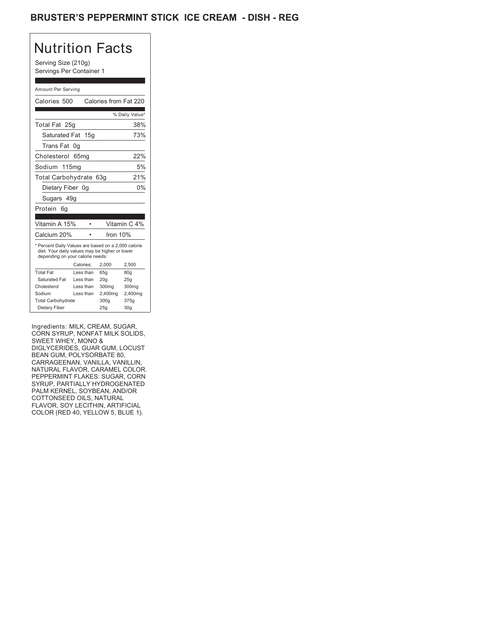## **BRUSTER'S PEPPERMINT STICK ICE CREAM - DISH - REG**

# Nutrition Facts

Serving Size (210g) Servings Per Container 1

#### Amount Per Serving

| Calories 500                                                                                                                                                                                       |                  | Calories from Fat 220 |                 |
|----------------------------------------------------------------------------------------------------------------------------------------------------------------------------------------------------|------------------|-----------------------|-----------------|
|                                                                                                                                                                                                    |                  |                       | % Daily Value*  |
| Total Fat 25g                                                                                                                                                                                      |                  |                       | 38%             |
| Saturated Fat                                                                                                                                                                                      | 15g              |                       | 73%             |
| Trans Fat 0q                                                                                                                                                                                       |                  |                       |                 |
| Cholesterol                                                                                                                                                                                        | 65 <sub>mq</sub> |                       | 22%             |
| Sodium 115mg                                                                                                                                                                                       |                  |                       | 5%              |
| Total Carbohydrate 63g                                                                                                                                                                             |                  |                       | 21%             |
| Dietary Fiber                                                                                                                                                                                      | 0q               |                       | 0%              |
| Sugars 49g                                                                                                                                                                                         |                  |                       |                 |
| Protein<br>6g                                                                                                                                                                                      |                  |                       |                 |
|                                                                                                                                                                                                    |                  |                       |                 |
| Vitamin A 15%                                                                                                                                                                                      |                  |                       | Vitamin C 4%    |
| Calcium 20%                                                                                                                                                                                        |                  | Iron 10%              |                 |
| * Percent Daily Values are based on a 2,000 calorie<br>diet. Your daily values may be higher or lower<br>depending on your calorie needs:                                                          |                  |                       |                 |
|                                                                                                                                                                                                    | Calories:        | 2,000                 | 2,500           |
| <b>Total Fat</b>                                                                                                                                                                                   | Less than        | 65g                   | 80g             |
| Saturated Fat                                                                                                                                                                                      | Less than        | 20 <sub>g</sub>       | 25g             |
| Cholesterol                                                                                                                                                                                        | Less than        | 300mg                 | 300mg           |
| Sodium                                                                                                                                                                                             | Less than        | 2,400mg               | 2,400mg         |
| <b>Total Carbohydrate</b>                                                                                                                                                                          |                  | 300g                  | 375g            |
| Dietary Fiber                                                                                                                                                                                      |                  | 25q                   | 30 <sub>g</sub> |
| Ingredients: MILK, CREAM, SUGAR,<br>CORN SYRUP, NONFAT MILK SOLIDS,<br>SWEET WHEY, MONO &<br>DIGLYCERIDES, GUAR GUM, LOCUST<br><b>BEAN GUM, POLYSORBATE 80,</b><br>CARRAGEENAN, VANILLA, VANILLIN, |                  |                       |                 |

Ingredients: MILK, CREAM, SUGAR, CORN SYRUP, NONFAT MILK SOLIDS, SWEET WHEY, MONO & DIGLYCERIDES, GUAR GUM, LOCUST BEAN GUM, POLYSORBATE 80, CARRAGEENAN, VANILLA, VANILLIN, NATURAL FLAVOR, CARAMEL COLOR. PEPPERMINT FLAKES: SUGAR, CORN SYRUP, PARTIALLY HYDROGENATED PALM KERNEL, SOYBEAN, AND/OR COTTONSEED OILS, NATURAL FLAVOR, SOY LECITHIN, ARTIFICIAL COLOR (RED 40, YELLOW 5, BLUE 1).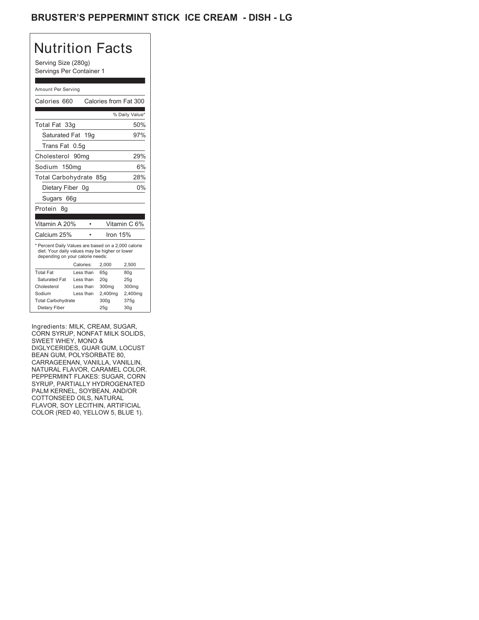## **BRUSTER'S PEPPERMINT STICK ICE CREAM - DISH - LG**

# Nutrition Facts

Serving Size (280g) Servings Per Container 1

#### Amount Per Serving

| Calories 660                                                                                                                              |                  | Calories from Fat 300 |                 |
|-------------------------------------------------------------------------------------------------------------------------------------------|------------------|-----------------------|-----------------|
|                                                                                                                                           |                  |                       | % Daily Value*  |
| Total Fat 33g                                                                                                                             |                  |                       | 50%             |
| Saturated Fat 19g                                                                                                                         |                  |                       | 97%             |
| Trans Fat 0.5q                                                                                                                            |                  |                       |                 |
| Cholesterol                                                                                                                               | 90 <sub>mq</sub> |                       | 29%             |
| Sodium 150mg                                                                                                                              |                  |                       | 6%              |
| Total Carbohydrate 85g                                                                                                                    |                  |                       | 28%             |
| Dietary Fiber 0q                                                                                                                          |                  |                       | 0%              |
| Sugars 66g                                                                                                                                |                  |                       |                 |
| Protein<br>8g                                                                                                                             |                  |                       |                 |
|                                                                                                                                           |                  |                       |                 |
| Vitamin A 20%                                                                                                                             |                  |                       | Vitamin C 6%    |
| Calcium 25%                                                                                                                               |                  | Iron 15%              |                 |
| * Percent Daily Values are based on a 2,000 calorie<br>diet. Your daily values may be higher or lower<br>depending on your calorie needs: |                  |                       |                 |
|                                                                                                                                           | Calories:        | 2,000                 | 2,500           |
| <b>Total Fat</b>                                                                                                                          | Less than        | 65q                   | 80 <sub>g</sub> |
| Saturated Fat                                                                                                                             | Less than        | 20q                   | 25q             |
| Cholesterol                                                                                                                               | Less than        | 300mg                 | 300mg           |
| Sodium                                                                                                                                    | Less than        | 2,400mg               | 2,400mg         |
| <b>Total Carbohydrate</b>                                                                                                                 |                  | 300g                  | 375g            |
| Dietary Fiber                                                                                                                             |                  | 25g                   | 30 <sub>g</sub> |

Ingredients: MILK, CREAM, SUGAR, CORN SYRUP, NONFAT MILK SOLIDS, SWEET WHEY, MONO & DIGLYCERIDES, GUAR GUM, LOCUST BEAN GUM, POLYSORBATE 80, CARRAGEENAN, VANILLA, VANILLIN, NATURAL FLAVOR, CARAMEL COLOR. PEPPERMINT FLAKES: SUGAR, CORN SYRUP, PARTIALLY HYDROGENATED PALM KERNEL, SOYBEAN, AND/OR COTTONSEED OILS, NATURAL FLAVOR, SOY LECITHIN, ARTIFICIAL COLOR (RED 40, YELLOW 5, BLUE 1).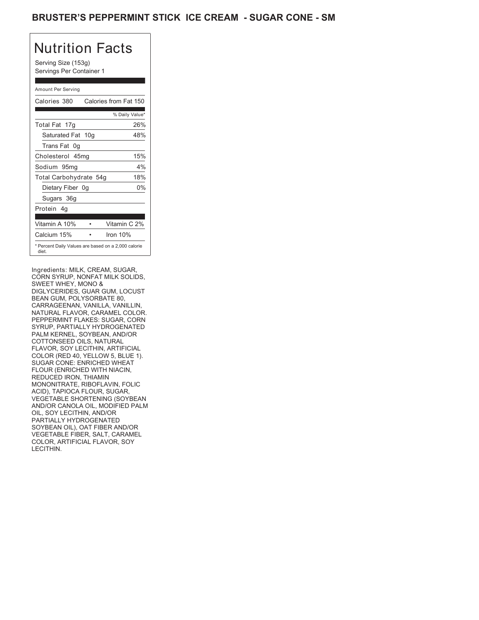## BRUSTER'S PEPPERMINT STICK ICE CREAM - SUGAR CONE - SM

# Nutrition Facts

Serving Size (153g) Servings Per Container 1

### Amount Per Serving

| Calories 380                                                                                                           |   | Calories from Fat 150                                                                                                                 |
|------------------------------------------------------------------------------------------------------------------------|---|---------------------------------------------------------------------------------------------------------------------------------------|
|                                                                                                                        |   | % Daily Value*                                                                                                                        |
| Total Fat 17g                                                                                                          |   | 26%                                                                                                                                   |
| Saturated Fat 10g                                                                                                      |   | 48%                                                                                                                                   |
| Trans Fat 0g                                                                                                           |   |                                                                                                                                       |
| Cholesterol 45mg                                                                                                       |   | 15%                                                                                                                                   |
| Sodium 95mg                                                                                                            |   | 4%                                                                                                                                    |
| Total Carbohydrate 54g                                                                                                 |   | 18%                                                                                                                                   |
| Dietary Fiber 0g                                                                                                       |   | 0%                                                                                                                                    |
| Sugars 36g                                                                                                             |   |                                                                                                                                       |
| Protein 4g                                                                                                             |   |                                                                                                                                       |
|                                                                                                                        |   |                                                                                                                                       |
| Vitamin A 10%                                                                                                          | ٠ | Vitamin C 2%                                                                                                                          |
| Calcium 15%                                                                                                            |   | Iron 10%                                                                                                                              |
| diet.                                                                                                                  |   | * Percent Daily Values are based on a 2,000 calorie                                                                                   |
| Ingredients: MILK. CREAM. SUGAR.<br>SWEET WHEY, MONO &<br>BEAN GUM, POLYSORBATE 80,<br>CARRAGEENAN, VANILLA, VANILLIN, |   | CORN SYRUP, NONFAT MILK SOLIDS,<br>DIGLYCERIDES, GUAR GUM, LOCUST<br>NATURAL FLAVOR, CARAMEL COLOR.<br>PEPPERMINT FLAKES: SUGAR, CORN |

Ingredients: MILK, CREAM, SUGAR, CORN SYRUP, NONFAT MILK SOLIDS, SWEET WHEY, MONO & DIGLYCERIDES, GUAR GUM, LOCUST BEAN GUM, POLYSORBATE 80, CARRAGEENAN, VANILLA, VANILLIN, NATURAL FLAVOR, CARAMEL COLOR. PEPPERMINT FLAKES: SUGAR, CORN SYRUP, PARTIALLY HYDROGENATED PALM KERNEL, SOYBEAN, AND/OR COTTONSEED OILS, NATURAL FLAVOR, SOY LECITHIN, ARTIFICIAL COLOR (RED 40, YELLOW 5, BLUE 1). SUGAR CONE: ENRICHED WHEAT FLOUR (ENRICHED WITH NIACIN, REDUCED IRON, THIAMIN MONONITRATE, RIBOFLAVIN, FOLIC ACID), TAPIOCA FLOUR, SUGAF VEGETABLE SHORTENING (SOYBEAN AND/OR CANOLA OIL, MODIFIED PALM OIL, SOY LECITHIN, AND/OR PARTIALLY HYDROGENATED SOYBEAN OIL), OAT FIBER AND/OR VEGETABLE FIBER, SALT, CARAMEL COLOR, ARTIFICIAL FLAVOR, SOY LECITHIN. MONONITRATE, RIBOFLAVIN, FOLIC ACID), TAPIOCA FLOUR, SUGAR,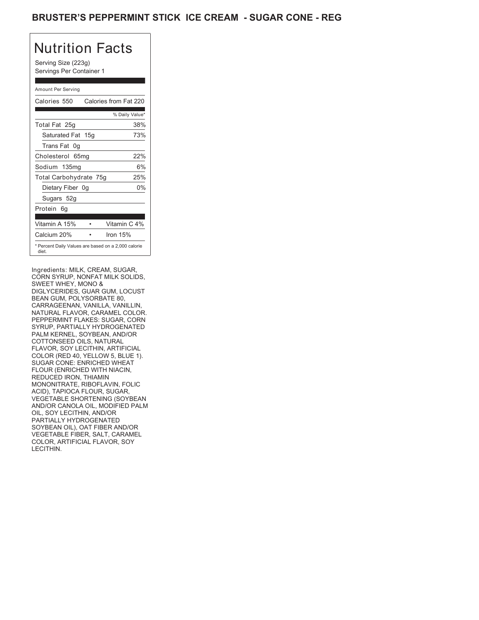## **BRUSTER'S PEPPERMINT STICK ICE CREAM - SUGAR CONE - REG**

# Nutrition Facts

Serving Size (223g) Servings Per Container 1

### Amount Per Serving

| Calories 550                                                                                                           |   | Calories from Fat 220                                                                                                                 |
|------------------------------------------------------------------------------------------------------------------------|---|---------------------------------------------------------------------------------------------------------------------------------------|
|                                                                                                                        |   | % Daily Value*                                                                                                                        |
| Total Fat 25g                                                                                                          |   | 38%                                                                                                                                   |
| Saturated Fat 15g                                                                                                      |   | 73%                                                                                                                                   |
| Trans Fat 0q                                                                                                           |   |                                                                                                                                       |
| Cholesterol 65mg                                                                                                       |   | 22%                                                                                                                                   |
| Sodium 135mg                                                                                                           |   | 6%                                                                                                                                    |
| Total Carbohydrate 75g                                                                                                 |   | 25%                                                                                                                                   |
| Dietary Fiber 0g                                                                                                       |   | 0%                                                                                                                                    |
| Sugars 52g                                                                                                             |   |                                                                                                                                       |
| Protein 6q                                                                                                             |   |                                                                                                                                       |
|                                                                                                                        |   |                                                                                                                                       |
| Vitamin A 15%                                                                                                          | ٠ | Vitamin C 4%                                                                                                                          |
| Calcium 20%                                                                                                            |   | Iron 15%                                                                                                                              |
| diet.                                                                                                                  |   | * Percent Daily Values are based on a 2,000 calorie                                                                                   |
| Ingredients: MILK, CREAM, SUGAR,<br>SWEET WHEY, MONO &<br>BEAN GUM, POLYSORBATE 80,<br>CARRAGEENAN, VANILLA, VANILLIN, |   | CORN SYRUP, NONFAT MILK SOLIDS,<br>DIGLYCERIDES, GUAR GUM, LOCUST<br>NATURAL FLAVOR, CARAMEL COLOR.<br>PEPPERMINT FLAKES: SUGAR, CORN |

Ingredients: MILK, CREAM, SUGAR, CORN SYRUP, NONFAT MILK SOLIDS, SWEET WHEY, MONO & DIGLYCERIDES, GUAR GUM, LOCUST BEAN GUM, POLYSORBATE 80, CARRAGEENAN, VANILLA, VANILLIN, NATURAL FLAVOR, CARAMEL COLOR. PEPPERMINT FLAKES: SUGAR, CORN SYRUP, PARTIALLY HYDROGENATED PALM KERNEL, SOYBEAN, AND/OR COTTONSEED OILS, NATURAL FLAVOR, SOY LECITHIN, ARTIFICIAL COLOR (RED 40, YELLOW 5, BLUE 1). SUGAR CONE: ENRICHED WHEAT FLOUR (ENRICHED WITH NIACIN, REDUCED IRON, THIAMIN MONONITRATE, RIBOFLAVIN, FOLIC ACID), TAPIOCA FLOUR, SUGAR, VEGETABLE SHORTENING (SOYBEAN AND/OR CANOLA OIL, MODIFIED PALM OIL, SOY LECITHIN, AND/OR PARTIALLY HYDROGENATED SOYBEAN OIL), OAT FIBER AND/OR VEGETABLE FIBER, SALT, CARAMEL COLOR, ARTIFICIAL FLAVOR, SOY LECITHIN.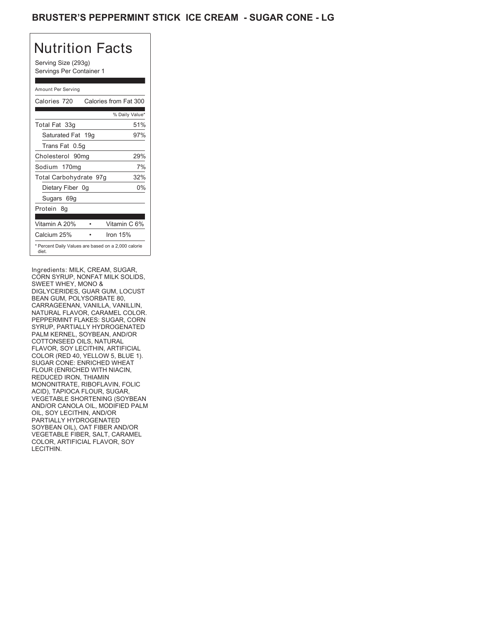## BRUSTER'S PEPPERMINT STICK ICE CREAM - SUGAR CONE - LG

# Nutrition Facts

Serving Size (293g) Servings Per Container 1

### Amount Per Serving

| Calories 720           | Calories from Fat 300                               |
|------------------------|-----------------------------------------------------|
|                        | % Daily Value*                                      |
| Total Fat 33g          | 51%                                                 |
| Saturated Fat 19g      | 97%                                                 |
| Trans Fat 0.5q         |                                                     |
| Cholesterol 90mg       | 29%                                                 |
| Sodium 170mg           | 7%                                                  |
| Total Carbohydrate 97g | 32%                                                 |
| Dietary Fiber 0g       | 0%                                                  |
| Sugars 69g             |                                                     |
| Protein 8q             |                                                     |
|                        |                                                     |
| Vitamin A 20%          | Vitamin C 6%                                        |
| Calcium 25%            | Iron $15%$                                          |
| diet.                  | * Percent Daily Values are based on a 2,000 calorie |

Ingredients: MILK, CREAM, SUGAR, CORN SYRUP, NONFAT MILK SOLIDS, SWEET WHEY, MONO & DIGLYCERIDES, GUAR GUM, LOCUST BEAN GUM, POLYSORBATE 80, CARRAGEENAN, VANILLA, VANILLIN, NATURAL FLAVOR, CARAMEL COLOR. PEPPERMINT FLAKES: SUGAR, CORN SYRUP, PARTIALLY HYDROGENATED PALM KERNEL, SOYBEAN, AND/OR COTTONSEED OILS, NATURAL FLAVOR, SOY LECITHIN, ARTIFICIAL COLOR (RED 40, YELLOW 5, BLUE 1). SUGAR CONE: ENRICHED WHEAT FLOUR (ENRICHED WITH NIACIN, REDUCED IRON, THIAMIN MONONITRATE, RIBOFLAVIN, FOLIC ACID), TAPIOCA FLOUR, SUGAR, VEGETABLE SHORTENING (SOYBEAN AND/OR CANOLA OIL, MODIFIED PALM OIL, SOY LECITHIN, AND/OR PARTIALLY HYDROGENATED SOYBEAN OIL), OAT FIBER AND/OR VEGETABLE FIBER, SALT, CARAMEL COLOR, ARTIFICIAL FLAVOR, SOY LECITHIN. Calcium 25%<br>
Percent Daily Values are based on a 2,000 calorie<br>
diet.<br>
Ingredients: MILK, CREAM, SUGAR,<br>
CORN SYRUP, NONFAT MILK SOLIDS,<br>
SWEET WHEY, MONO &<br>
DIGLYCERIDES, GUAR GUM, LOCUST<br>
BEAN GUM, POLYSORBATE 80,<br>
CARRA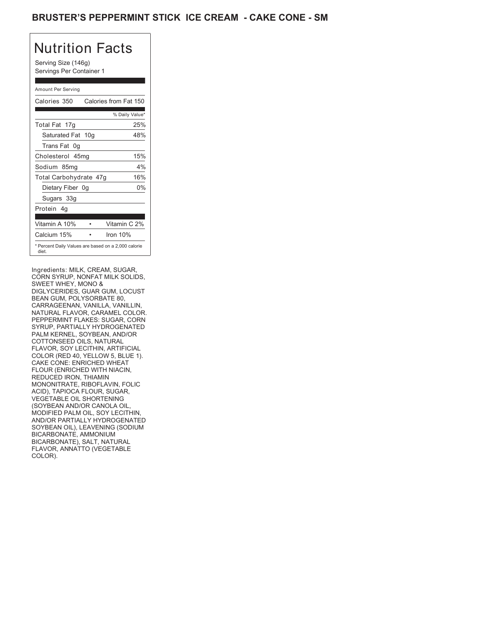## BRUSTER'S PEPPERMINT STICK ICE CREAM - CAKE CONE - SM

# Nutrition Facts

Serving Size (146g) Servings Per Container 1

### Amount Per Serving

| Calories 350                                                                                                           |                 | Calories from Fat 150                                                                                                                 |
|------------------------------------------------------------------------------------------------------------------------|-----------------|---------------------------------------------------------------------------------------------------------------------------------------|
|                                                                                                                        |                 | % Daily Value*                                                                                                                        |
| Total Fat 17g                                                                                                          |                 | 25%                                                                                                                                   |
| Saturated Fat                                                                                                          | 10 <sub>q</sub> | 48%                                                                                                                                   |
| Trans Fat 0q                                                                                                           |                 |                                                                                                                                       |
| Cholesterol 45mg                                                                                                       |                 | 15%                                                                                                                                   |
| Sodium 85mg                                                                                                            |                 | 4%                                                                                                                                    |
| Total Carbohydrate 47g                                                                                                 |                 | 16%                                                                                                                                   |
| Dietary Fiber 0g                                                                                                       |                 | 0%                                                                                                                                    |
| Sugars 33g                                                                                                             |                 |                                                                                                                                       |
| Protein 4q                                                                                                             |                 |                                                                                                                                       |
|                                                                                                                        |                 |                                                                                                                                       |
| Vitamin A 10%                                                                                                          | ٠               | Vitamin C 2%                                                                                                                          |
| Calcium 15%                                                                                                            |                 | Iron 10%                                                                                                                              |
| diet.                                                                                                                  |                 | * Percent Daily Values are based on a 2,000 calorie                                                                                   |
| Ingredients: MILK, CREAM, SUGAR,<br>SWEET WHEY, MONO &<br>BEAN GUM, POLYSORBATE 80,<br>CARRAGEENAN, VANILLA, VANILLIN, |                 | CORN SYRUP, NONFAT MILK SOLIDS,<br>DIGLYCERIDES, GUAR GUM, LOCUST<br>NATURAL FLAVOR, CARAMEL COLOR.<br>PEPPERMINT FLAKES: SUGAR, CORN |

Ingredients: MILK, CREAM, SUGAR, CORN SYRUP, NONFAT MILK SOLIDS, SWEET WHEY, MONO & DIGLYCERIDES, GUAR GUM, LOCUST BEAN GUM, POLYSORBATE 80, CARRAGEENAN, VANILLA, VANILLIN, NATURAL FLAVOR, CARAMEL COLOR. PEPPERMINT FLAKES: SUGAR, CORN SYRUP, PARTIALLY HYDROGENATED PALM KERNEL, SOYBEAN, AND/OR COTTONSEED OILS, NATURAL FLAVOR, SOY LECITHIN, ARTIFICIAL COLOR (RED 40, YELLOW 5, BLUE 1). CAKE CONE: ENRICHED WHEAT FLOUR (ENRICHED WITH NIACIN, REDUCED IRON, THIAMIN MONONITRATE, RIBOFLAVIN, FOLIC ACID), TAPIOCA FLOUR, SUGAR, VEGETABLE OIL SHORTENING (SOYBEAN AND/OR CANOLA OIL, MODIFIED PALM OIL, SOY LECITHIN, AND/OR PARTIALLY HYDROGENATED SOYBEAN OIL), LEAVENING (SODIUM BICARBONATE, AMMONIUM BICARBONATE), SALT, NATURAL FLAVOR, ANNATTO (VEGETABLE COLOR). The contraction of the contraction of the contraction of the contraction of the contraction of the contraction of the contraction of the contraction of the contraction of the contraction of the contraction of the c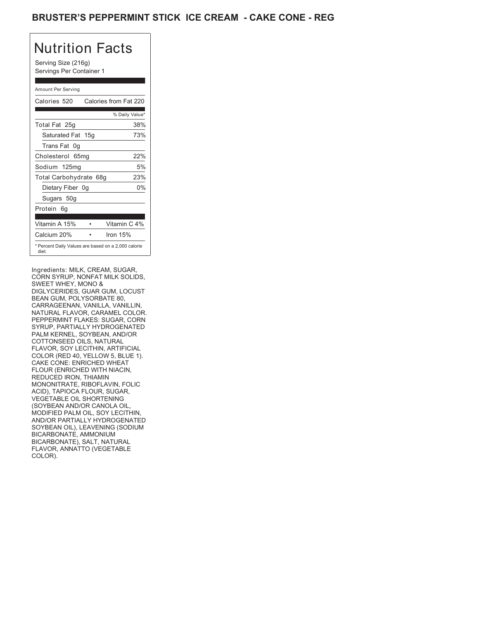## BRUSTER'S PEPPERMINT STICK ICE CREAM - CAKE CONE - REG

# Nutrition Facts

Serving Size (216g) Servings Per Container 1

### Amount Per Serving

| Calories 520                                                                                                           |   | Calories from Fat 220                                                                                                                 |
|------------------------------------------------------------------------------------------------------------------------|---|---------------------------------------------------------------------------------------------------------------------------------------|
|                                                                                                                        |   | % Daily Value*                                                                                                                        |
| Total Fat 25g                                                                                                          |   | 38%                                                                                                                                   |
| Saturated Fat 15g                                                                                                      |   | 73%                                                                                                                                   |
| Trans Fat 0q                                                                                                           |   |                                                                                                                                       |
| Cholesterol 65mg                                                                                                       |   | 22%                                                                                                                                   |
| Sodium 125mg                                                                                                           |   | 5%                                                                                                                                    |
| Total Carbohydrate 68g                                                                                                 |   | 23%                                                                                                                                   |
| Dietary Fiber 0g                                                                                                       |   | $0\%$                                                                                                                                 |
| Sugars 50g                                                                                                             |   |                                                                                                                                       |
| Protein 6q                                                                                                             |   |                                                                                                                                       |
| Vitamin A 15%                                                                                                          | ٠ | Vitamin C 4%                                                                                                                          |
|                                                                                                                        |   |                                                                                                                                       |
| Calcium 20%                                                                                                            |   | Iron 15%                                                                                                                              |
| diet.                                                                                                                  |   | * Percent Daily Values are based on a 2,000 calorie                                                                                   |
| Ingredients: MILK, CREAM, SUGAR,<br>SWEET WHEY, MONO &<br>BEAN GUM, POLYSORBATE 80,<br>CARRAGEENAN, VANILLA, VANILLIN, |   | CORN SYRUP, NONFAT MILK SOLIDS,<br>DIGLYCERIDES, GUAR GUM, LOCUST<br>NATURAL FLAVOR, CARAMEL COLOR.<br>PEPPERMINT FLAKES: SUGAR, CORN |

Ingredients: MILK, CREAM, SUGAR, CORN SYRUP, NONFAT MILK SOLIDS, SWEET WHEY, MONO & DIGLYCERIDES, GUAR GUM, LOCUST BEAN GUM, POLYSORBATE 80, CARRAGEENAN, VANILLA, VANILLIN, NATURAL FLAVOR, CARAMEL COLOR. PEPPERMINT FLAKES: SUGAR, CORN SYRUP, PARTIALLY HYDROGENATED PALM KERNEL, SOYBEAN, AND/OR COTTONSEED OILS, NATURAL FLAVOR, SOY LECITHIN, ARTIFICIAL COLOR (RED 40, YELLOW 5, BLUE 1). CAKE CONE: ENRICHED WHEAT FLOUR (ENRICHED WITH NIACIN, REDUCED IRON, THIAMIN MONONITRATE, RIBOFLAVIN, FOLIC ACID), TAPIOCA FLOUR, SUGAR, VEGETABLE OIL SHORTENING (SOYBEAN AND/OR CANOLA OIL, MODIFIED PALM OIL, SOY LECITHIN, AND/OR PARTIALLY HYDROGENATED SOYBEAN OIL), LEAVENING (SODIUM BICARBONATE, AMMONIUM BICARBONATE), SALT, NATURAL FLAVOR, ANNATTO (VEGETABLE COLOR). The contraction of the contraction of the contraction of the contraction of the contraction of the contraction of the contraction of the contraction of the contraction of the contraction of the contraction of the c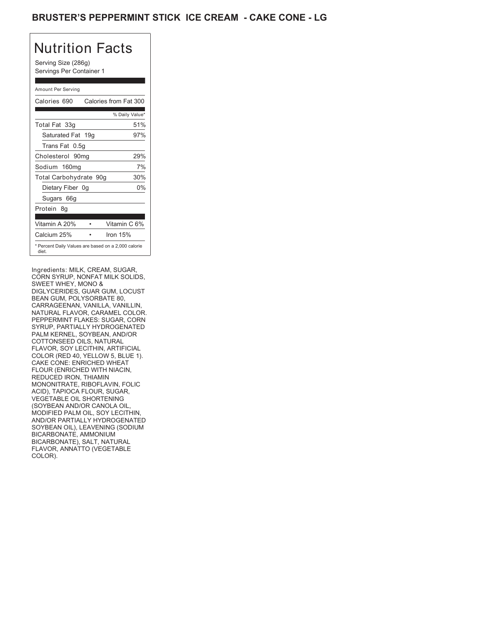## BRUSTER'S PEPPERMINT STICK ICE CREAM - CAKE CONE - LG

# Nutrition Facts

Serving Size (286g) Servings Per Container 1

### Amount Per Serving

| Calories 690           | Calories from Fat 300                               |
|------------------------|-----------------------------------------------------|
|                        | % Daily Value*                                      |
| Total Fat 33g          | 51%                                                 |
| Saturated Fat 19g      | 97%                                                 |
| Trans Fat 0.5q         |                                                     |
| Cholesterol 90mg       | 29%                                                 |
| Sodium 160mg           | 7%                                                  |
| Total Carbohydrate 90g | 30%                                                 |
| Dietary Fiber 0g       | 0%                                                  |
| Sugars 66g             |                                                     |
| Protein 8q             |                                                     |
| Vitamin A 20%          | Vitamin C 6%                                        |
| Calcium 25%            | Iron $15%$                                          |
| diet.                  | * Percent Daily Values are based on a 2,000 calorie |

Ingredients: MILK, CREAM, SUGAR, CORN SYRUP, NONFAT MILK SOLIDS, SWEET WHEY, MONO & DIGLYCERIDES, GUAR GUM, LOCUST BEAN GUM, POLYSORBATE 80, CARRAGEENAN, VANILLA, VANILLIN, NATURAL FLAVOR, CARAMEL COLOR. PEPPERMINT FLAKES: SUGAR, CORN SYRUP, PARTIALLY HYDROGENATED PALM KERNEL, SOYBEAN, AND/OR COTTONSEED OILS, NATURAL FLAVOR, SOY LECITHIN, ARTIFICIAL COLOR (RED 40, YELLOW 5, BLUE 1). CAKE CONE: ENRICHED WHEAT FLOUR (ENRICHED WITH NIACIN, REDUCED IRON, THIAMIN MONONITRATE, RIBOFLAVIN, FOLIC ACID), TAPIOCA FLOUR, SUGAR, VEGETABLE OIL SHORTENING (SOYBEAN AND/OR CANOLA OIL, MODIFIED PALM OIL, SOY LECITHIN, AND/OR PARTIALLY HYDROGENATED SOYBEAN OIL), LEAVENING (SODIUM BICARBONATE, AMMONIUM BICARBONATE), SALT, NATURAL FLAVOR, ANNATTO (VEGETABLE COLOR). The contraction of the contraction of the contraction of the contraction of the contraction of the contraction of the contraction of the contraction of the contraction of the contraction of the contraction of the c Calcium 25%<br>
Percent Daily Values are based on a 2,000 calorie<br>
diet.<br>
Ingredients: MILK, CREAM, SUGAR,<br>
CORN SYRUP, NONFAT MILK SOLIDS,<br>
SWEET WHEY, MONO &<br>
DIGLYCERIDES, GUAR GUM, LOCUST<br>
BEAN GUM, POLYSORBATE 80,<br>
CARRA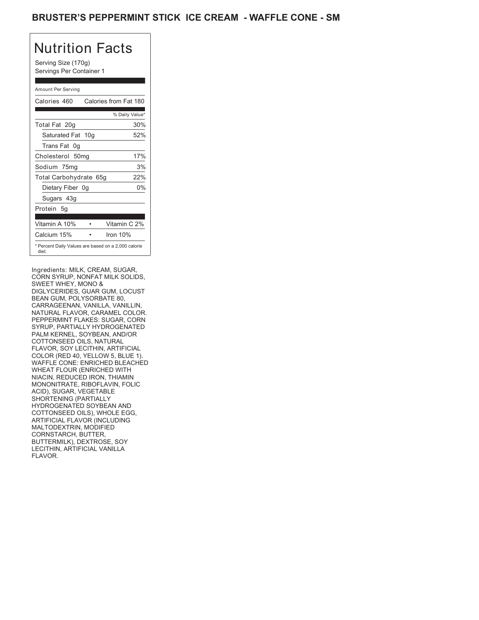## BRUSTER'S PEPPERMINT STICK ICE CREAM - WAFFLE CONE - SM

# Nutrition Facts

Serving Size (170g) Servings Per Container 1

### Amount Per Serving

| Calories 460                                                                                                           |   | Calories from Fat 180                                                                                                                 |
|------------------------------------------------------------------------------------------------------------------------|---|---------------------------------------------------------------------------------------------------------------------------------------|
|                                                                                                                        |   | % Daily Value*                                                                                                                        |
| Total Fat 20g                                                                                                          |   | 30%                                                                                                                                   |
| Saturated Fat 10g                                                                                                      |   | 52%                                                                                                                                   |
| Trans Fat 0g                                                                                                           |   |                                                                                                                                       |
| Cholesterol 50mg                                                                                                       |   | 17%                                                                                                                                   |
| Sodium 75mg                                                                                                            |   | 3%                                                                                                                                    |
| Total Carbohydrate 65g                                                                                                 |   | 22%                                                                                                                                   |
| Dietary Fiber 0g                                                                                                       |   | 0%                                                                                                                                    |
| Sugars 43g                                                                                                             |   |                                                                                                                                       |
| Protein 5g                                                                                                             |   |                                                                                                                                       |
|                                                                                                                        |   |                                                                                                                                       |
| Vitamin A 10%                                                                                                          | ٠ | Vitamin C 2%                                                                                                                          |
| Calcium 15%                                                                                                            |   | Iron 10%                                                                                                                              |
| diet.                                                                                                                  |   | * Percent Daily Values are based on a 2,000 calorie                                                                                   |
| Ingredients: MILK. CREAM. SUGAR.<br>SWEET WHEY, MONO &<br>BEAN GUM, POLYSORBATE 80,<br>CARRAGEENAN, VANILLA, VANILLIN, |   | CORN SYRUP, NONFAT MILK SOLIDS,<br>DIGLYCERIDES, GUAR GUM, LOCUST<br>NATURAL FLAVOR, CARAMEL COLOR.<br>PEPPERMINT FLAKES: SUGAR, CORN |

Ingredients: MILK, CREAM, SUGAR, CORN SYRUP, NONFAT MILK SOLIDS, SWEET WHEY, MONO & DIGLYCERIDES, GUAR GUM, LOCUST BEAN GUM, POLYSORBATE 80, CARRAGEENAN, VANILLA, VANILLIN, NATURAL FLAVOR, CARAMEL COLOR. PEPPERMINT FLAKES: SUGAR, CORN SYRUP, PARTIALLY HYDROGENATED PALM KERNEL, SOYBEAN, AND/OR COTTONSEED OILS, NATURAL FLAVOR, SOY LECITHIN, ARTIFICIAL COLOR (RED 40, YELLOW 5, BLUE 1). WAFFLE CONE: ENRICHED BLEACHED WHEAT FLOUR (ENRICHED WITH NIACIN, REDUCED IRON, THIAMIN MONONITRATE, RIBOFLAVIN, FOLIC ACID), SUGAR, VEGETABLE SHORTENING (PARTIALLY HYDROGENATED SOYBEAN AND COTTONSEED OILS), WHOLE EGG, ARTIFICIAL FLAVOR (INCLUDING MALTODEXTRIN, MODIFIED CORNSTARCH, BUTTER, BUTTERMILK), DEXTROSE, SOY LECITHIN, ARTIFICIAL VANILLA FLAVOR. MONONITRATE, RIBOFLAVIN, FOLIC ACID), SUGAR, VEGETABLE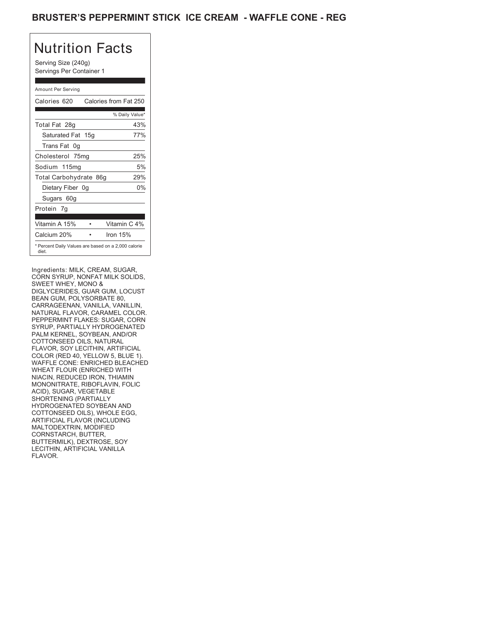## BRUSTER'S PEPPERMINT STICK ICE CREAM - WAFFLE CONE - REG

# Nutrition Facts

Serving Size (240g) Servings Per Container 1

### Amount Per Serving

| Calories 620                                                                                                           |   | Calories from Fat 250                                                                                                                 |
|------------------------------------------------------------------------------------------------------------------------|---|---------------------------------------------------------------------------------------------------------------------------------------|
|                                                                                                                        |   | % Daily Value*                                                                                                                        |
| Total Fat 28g                                                                                                          |   | 43%                                                                                                                                   |
| Saturated Fat 15g                                                                                                      |   | 77%                                                                                                                                   |
| Trans Fat 0q                                                                                                           |   |                                                                                                                                       |
| Cholesterol 75mg                                                                                                       |   | 25%                                                                                                                                   |
| Sodium 115mg                                                                                                           |   | 5%                                                                                                                                    |
| Total Carbohydrate 86g                                                                                                 |   | 29%                                                                                                                                   |
| Dietary Fiber 0g                                                                                                       |   | 0%                                                                                                                                    |
| Sugars 60g                                                                                                             |   |                                                                                                                                       |
| Protein 7g                                                                                                             |   |                                                                                                                                       |
|                                                                                                                        |   |                                                                                                                                       |
| Vitamin A 15%                                                                                                          | ٠ | Vitamin C 4%                                                                                                                          |
| Calcium 20%                                                                                                            |   | Iron 15%                                                                                                                              |
| diet.                                                                                                                  |   | * Percent Daily Values are based on a 2,000 calorie                                                                                   |
| Ingredients: MILK, CREAM, SUGAR,<br>SWEET WHEY, MONO &<br>BEAN GUM, POLYSORBATE 80,<br>CARRAGEENAN, VANILLA, VANILLIN, |   | CORN SYRUP, NONFAT MILK SOLIDS,<br>DIGLYCERIDES, GUAR GUM, LOCUST<br>NATURAL FLAVOR, CARAMEL COLOR.<br>PEPPERMINT FLAKES: SUGAR, CORN |

Ingredients: MILK, CREAM, SUGAR, CORN SYRUP, NONFAT MILK SOLIDS, SWEET WHEY, MONO & DIGLYCERIDES, GUAR GUM, LOCUST BEAN GUM, POLYSORBATE 80, CARRAGEENAN, VANILLA, VANILLIN, NATURAL FLAVOR, CARAMEL COLOR. PEPPERMINT FLAKES: SUGAR, CORN SYRUP, PARTIALLY HYDROGENATED PALM KERNEL, SOYBEAN, AND/OR COTTONSEED OILS, NATURAL FLAVOR, SOY LECITHIN, ARTIFICIAL COLOR (RED 40, YELLOW 5, BLUE 1). WAFFLE CONE: ENRICHED BLEACHED WHEAT FLOUR (ENRICHED WITH NIACIN, REDUCED IRON, THIAMIN MONONITRATE, RIBOFLAVIN, FOLIC ACID), SUGAR, VEGETABLE SHORTENING (PARTIALLY HYDROGENATED SOYBEAN AND COTTONSEED OILS), WHOLE EGG, ARTIFICIAL FLAVOR (INCLUDING MALTODEXTRIN, MODIFIED CORNSTARCH, BUTTER, BUTTERMILK), DEXTROSE, SOY LECITHIN, ARTIFICIAL VANILLA FLAVOR. MONONITRATE, RIBOFLAVIN, FOLIC ACID), SUGAR, VEGETABLE